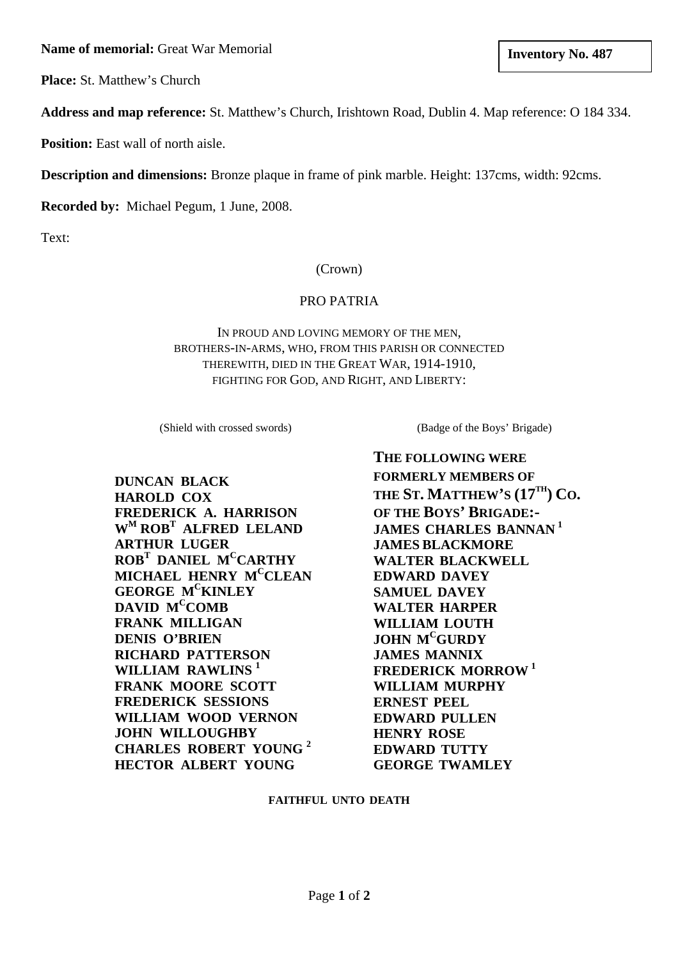**Inventory No. 487 Inventory No. 487** 

**Place:** St. Matthew's Church

**Address and map reference:** St. Matthew's Church, Irishtown Road, Dublin 4. Map reference: O 184 334.

**Position:** East wall of north aisle.

**Description and dimensions:** Bronze plaque in frame of pink marble. Height: 137cms, width: 92cms.

**Recorded by:** Michael Pegum, 1 June, 2008.

Text:

## (Crown)

## PRO PATRIA

IN PROUD AND LOVING MEMORY OF THE MEN, BROTHERS-IN-ARMS, WHO, FROM THIS PARISH OR CONNECTED THEREWITH, DIED IN THE GREAT WAR, 1914-1910, FIGHTING FOR GOD, AND RIGHT, AND LIBERTY:

(Shield with crossed swords)

**DUNCAN BLACK HAROLD COX FREDERICK A. HARRISON WM ROBT ALFRED LELAND ARTHUR LUGER ROBT DANIEL MCCARTHY MICHAEL HENRY MCCLEAN GEORGE MCKINLEY**  DAVID M<sup>C</sup>COMB **FRANK MILLIGAN DENIS O'BRIEN RICHARD PATTERSON**  WILLIAM RAWLINS<sup>1</sup> **FRANK MOORE SCOTT FREDERICK SESSIONS WILLIAM WOOD VERNON JOHN WILLOUGHBY CHARLES ROBERT YOUNG <sup>2</sup> HECTOR ALBERT YOUNG**

(Badge of the Boys' Brigade)

**THE FOLLOWING WERE FORMERLY MEMBERS OF THE ST. MATTHEW'S (17TH) CO. OF THE BOYS' BRIGADE:- JAMES CHARLES BANNAN <sup>1</sup> JAMES BLACKMORE WALTER BLACKWELL EDWARD DAVEY SAMUEL DAVEY WALTER HARPER WILLIAM LOUTH JOHN MCGURDY JAMES MANNIX FREDERICK MORROW <sup>1</sup> WILLIAM MURPHY ERNEST PEEL EDWARD PULLEN HENRY ROSE EDWARD TUTTY GEORGE TWAMLEY** 

## **FAITHFUL UNTO DEATH**